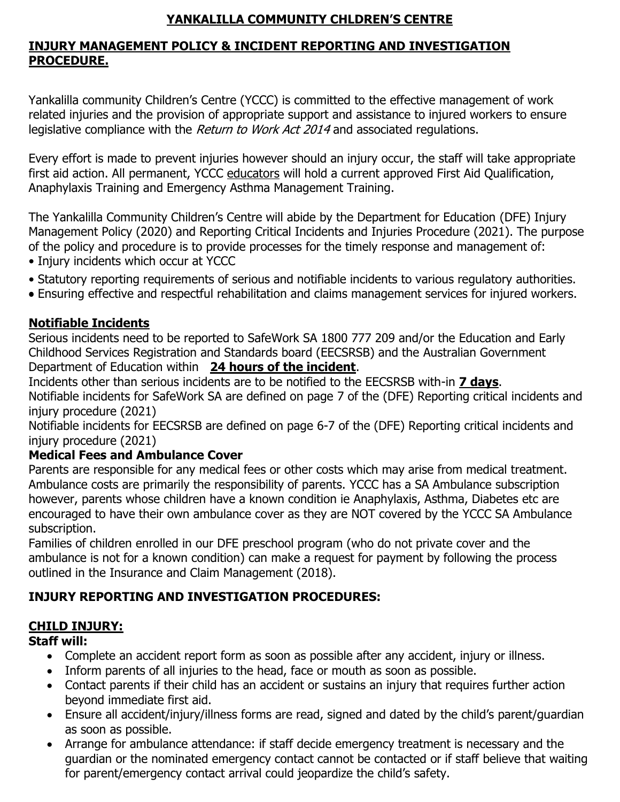## **YANKALILLA COMMUNITY CHLDREN'S CENTRE**

#### **INJURY MANAGEMENT POLICY & INCIDENT REPORTING AND INVESTIGATION PROCEDURE.**

Yankalilla community Children's Centre (YCCC) is committed to the effective management of work related injuries and the provision of appropriate support and assistance to injured workers to ensure legislative compliance with the Return to Work Act 2014 and associated regulations.

Every effort is made to prevent injuries however should an injury occur, the staff will take appropriate first aid action. All permanent, YCCC educators will hold a current approved First Aid Qualification, Anaphylaxis Training and Emergency Asthma Management Training.

The Yankalilla Community Children's Centre will abide by the Department for Education (DFE) Injury Management Policy (2020) and Reporting Critical Incidents and Injuries Procedure (2021). The purpose of the policy and procedure is to provide processes for the timely response and management of:

- Injury incidents which occur at YCCC
- Statutory reporting requirements of serious and notifiable incidents to various regulatory authorities.
- Ensuring effective and respectful rehabilitation and claims management services for injured workers.

#### **Notifiable Incidents**

Serious incidents need to be reported to SafeWork SA 1800 777 209 and/or the Education and Early Childhood Services Registration and Standards board (EECSRSB) and the Australian Government Department of Education within **24 hours of the incident**.

Incidents other than serious incidents are to be notified to the EECSRSB with-in **7 days**. Notifiable incidents for SafeWork SA are defined on page 7 of the (DFE) Reporting critical incidents and injury procedure (2021)

Notifiable incidents for EECSRSB are defined on page 6-7 of the (DFE) Reporting critical incidents and injury procedure (2021)

## **Medical Fees and Ambulance Cover**

Parents are responsible for any medical fees or other costs which may arise from medical treatment. Ambulance costs are primarily the responsibility of parents. YCCC has a SA Ambulance subscription however, parents whose children have a known condition ie Anaphylaxis, Asthma, Diabetes etc are encouraged to have their own ambulance cover as they are NOT covered by the YCCC SA Ambulance subscription.

Families of children enrolled in our DFE preschool program (who do not private cover and the ambulance is not for a known condition) can make a request for payment by following the process outlined in the Insurance and Claim Management (2018).

# **INJURY REPORTING AND INVESTIGATION PROCEDURES:**

## **CHILD INJURY:**

## **Staff will:**

- Complete an accident report form as soon as possible after any accident, injury or illness.
- Inform parents of all injuries to the head, face or mouth as soon as possible.
- Contact parents if their child has an accident or sustains an injury that requires further action beyond immediate first aid.
- Ensure all accident/injury/illness forms are read, signed and dated by the child's parent/guardian as soon as possible.
- Arrange for ambulance attendance: if staff decide emergency treatment is necessary and the guardian or the nominated emergency contact cannot be contacted or if staff believe that waiting for parent/emergency contact arrival could jeopardize the child's safety.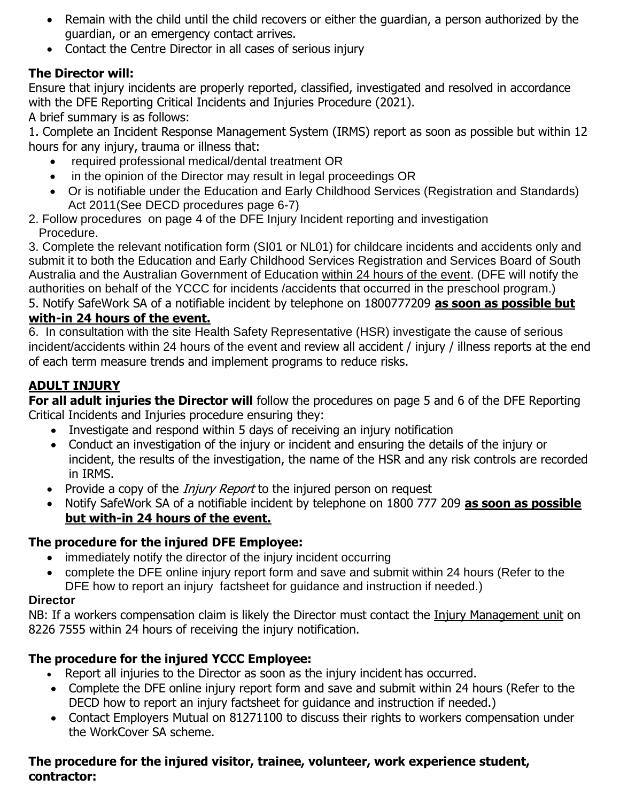- Remain with the child until the child recovers or either the guardian, a person authorized by the guardian, or an emergency contact arrives.
- Contact the Centre Director in all cases of serious injury

# **The Director will:**

Ensure that injury incidents are properly reported, classified, investigated and resolved in accordance with the DFE Reporting Critical Incidents and Injuries Procedure (2021).

A brief summary is as follows:

1. Complete an Incident Response Management System (IRMS) report as soon as possible but within 12 hours for any injury, trauma or illness that:

- required professional medical/dental treatment OR
- in the opinion of the Director may result in legal proceedings OR
- Or is notifiable under the Education and Early Childhood Services (Registration and Standards) Act 2011(See DECD procedures page 6-7)
- 2. Follow procedures on page 4 of the DFE Injury Incident reporting and investigation Procedure.

3. Complete the relevant notification form (SI01 or NL01) for childcare incidents and accidents only and submit it to both the Education and Early Childhood Services Registration and Services Board of South Australia and the Australian Government of Education within 24 hours of the event. (DFE will notify the authorities on behalf of the YCCC for incidents /accidents that occurred in the preschool program.) 5. Notify SafeWork SA of a notifiable incident by telephone on 1800777209 **as soon as possible but** 

## **with-in 24 hours of the event.**

6. In consultation with the site Health Safety Representative (HSR) investigate the cause of serious incident/accidents within 24 hours of the event and review all accident / injury / illness reports at the end of each term measure trends and implement programs to reduce risks.

## **ADULT INJURY**

**For all adult injuries the Director will** follow the procedures on page 5 and 6 of the DFE Reporting Critical Incidents and Injuries procedure ensuring they:

- Investigate and respond within 5 days of receiving an injury notification
- Conduct an investigation of the injury or incident and ensuring the details of the injury or incident, the results of the investigation, the name of the HSR and any risk controls are recorded in IRMS.
- Provide a copy of the *Injury Report* to the injured person on request
- Notify SafeWork SA of a notifiable incident by telephone on 1800 777 209 **as soon as possible but with-in 24 hours of the event.**

# **The procedure for the injured DFE Employee:**

- immediately notify the director of the injury incident occurring
- complete the DFE online [injury report form](https://apps.learnlink.sa.edu.au/XBSTOKEN/IMSPub/Public/Injury.aspx?src=EXT) and save and submit within 24 hours (Refer to the DFE how to report an injury factsheet for guidance and instruction if needed.)

## **Director**

NB: If a workers compensation claim is likely the Director must contact the [Injury Management unit](https://myintranet.learnlink.sa.edu.au/hr/health-and-safety/whs-policies-procedures-guides/risk-control-procedures/incident-reporting/injury-management-and-workers-compensation) on 8226 7555 within 24 hours of receiving the injury notification.

# **The procedure for the injured YCCC Employee:**

- Report all injuries to the Director as soon as the injury incident has occurred.
- Complete the DFE online injury report form and save and submit within 24 hours (Refer to the DECD how to report an injury factsheet for guidance and instruction if needed.)
- Contact Employers Mutual on 81271100 to discuss their rights to workers compensation under the WorkCover SA scheme.

#### **The procedure for the injured visitor, trainee, volunteer, work experience student, contractor:**